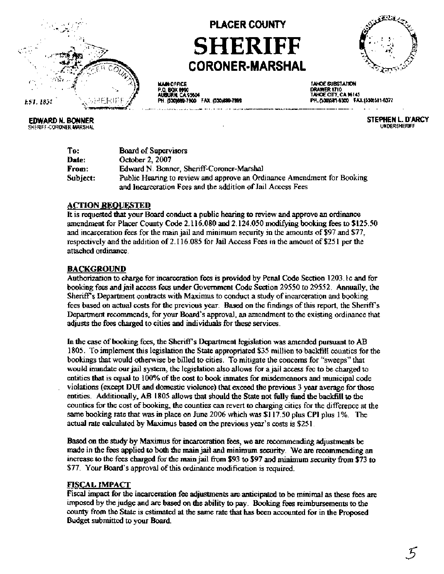

**EDWARD N. BONNER** 

SHERIFF-CORONER-MARSHAL

# **PLACER COUNTY SHERIFF CORONER-MARSHAL**



**MAJN OFFICE** P.O. BOX 699 7800 FAX (530)889-7899

TAHOE SUBSTATION DRAWER 1710<br>TAHOE CITY, CA 96145 PH. (530)581-6300 FAX:(530)581-6377

> STEPHEN L. D'ARCY **UNDERSHERIFF**

To: **Board of Supervisors** October 2, 2007 Date: Edward N. Bonner, Sheriff-Coroner-Marshal From: Subject: Public Hearing to review and approve an Ordinance Amendment for Booking and Incarceration Fees and the addition of Jail Access Fees

#### **ACTION REQUESTED**

It is requested that your Board conduct a public hearing to review and approve an ordinance amendment for Placer County Code 2.116.080 and 2.124.050 modifying booking fees to \$125.50 and incarceration fees for the main jail and minimum security in the amounts of \$97 and \$77, respectively and the addition of 2.116.085 for Jail Access Fees in the amount of \$251 per the attached ordinance.

#### **BACKGROUND**

Authorization to charge for incarceration fees is provided by Penal Code Section 1203, 1c and for booking fees and jail access fees under Government Code Section 29550 to 29552. Annually, the Sheriff's Department contracts with Maximus to conduct a study of incarceration and booking fees based on actual costs for the previous year. Based on the findings of this report, the Sheriff's Department recommends, for your Board's approval, an amendment to the existing ordinance that adjusts the fees charged to cities and individuals for these services.

In the case of booking fees, the Sheriff's Department legislation was amended pursuant to AB 1805. To implement this legislation the State appropriated \$35 million to backfill counties for the bookings that would otherwise be billed to cities. To mitigate the concerns for "sweeps" that would immdate our jail system, the legislation also allows for a jail access fee to be charged to entities that is equal to 100% of the cost to book inmates for misdemeanors and municipal code violations (except DUI and domestic violence) that exceed the previous 3 year average for those entities. Additionally, AB 1805 allows that should the State not fully fund the backfill to the counties for the cost of booking, the counties can revert to charging cities for the difference at the same booking rate that was in place on June 2006 which was \$117.50 plus CPI plus 1%. The actual rate calculated by Maximus based on the previous year's costs is \$251.

Based on the study by Maximus for incarceration fees, we are recommending adjustments be made in the fees applied to both the main jail and minimum security. We are recommending an increase to the fees charged for the main jail from \$93 to \$97 and minimum security from \$73 to \$77. Your Board's approval of this ordinance modification is required.

#### **FISCAL IMPACT**

Fiscal impact for the incarceration fee adjustments are anticipated to be minimal as these fees are imposed by the judge and are based on the ability to pay. Booking fees reimbursements to the county from the State is estimated at the same rate that has been accounted for in the Proposed Budget submitted to your Board.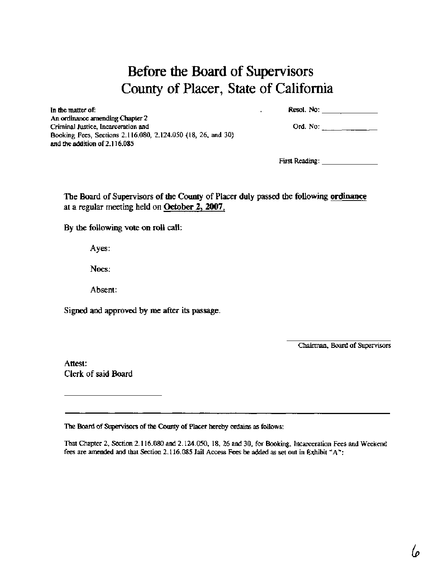## Before **the** Board of Supervisors County of Placer, State of California

| Resol. No: |  |
|------------|--|
|            |  |

In the **matter** of: **Resol.** No: An ordinance amending Chapter 2 Criminal Justice, Incarceration and Booking Fees, Sections 2.1 16.080, 2.124.050 (18, 26, and 30) and the addition of 2.1 16.085

| Ord. No: |  |  |  |  |
|----------|--|--|--|--|
|----------|--|--|--|--|

Fist Reading:

**The Board of Supervisors of the County of Placer duly passed the following ordinance at a regular meeting held on October 2,2007,** 

**By the following vote on roll** call:

**Ayes:** 

**Noes:** 

**Absent:** 

**Signed and approved by me after its passage.** 

Chairman, Board of Supervisors

**Attest: Clerk of said Board** 

**me** Board of *Supervirs* of the County of **Placer** hereby **onlains as** follows:

That Chapter 2, Section 2.116.080 and 2.124.050, 18, 26 and 30, for Booking, Incarceration Fees and Weekend fees are **amended** and that Section 2.1 16.085 Jail Access Fees be added as set out in Exhibit "A" :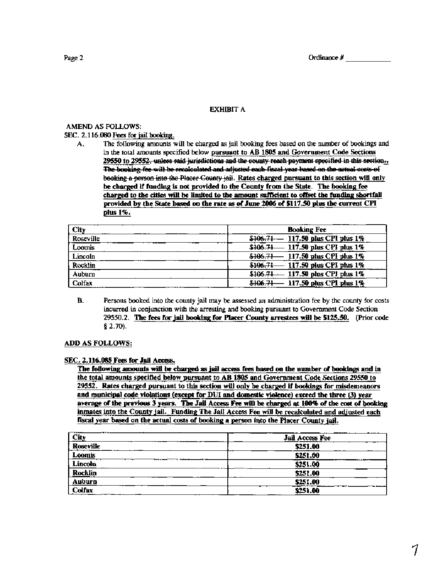#### **EXHIBIT A**

#### **AMEND AS FOLLOWS:**

**SEC.** 2.116.080 **Fees for** jail **booking.** 

**A.** The following amounts will be charged as jail booking fees based on the number of bookings and in the total amounts specified below-pursuant to AB **1805** and Government Code Sections <u>29550 to 29552, unless said jurisdictions and the county reach payment specified in this section...</u><br>The booking fee will be recaiculated and adjusted each fiscal year based on the actual costs of The following amounts will be charged as jail booking fees based on the number of bookings and<br>in the total amounts specified below <u>pursuant to AB 1805</u> and Government Code Sections<br>29550 to 29552, unless said jurisdictio charped **to** the cities **will** be limited **to** the amount sufficient **to** offset the **funding** shortfall provided by the **State based on** the **rate as** of June **2006** of **\$117.50** plus the current **CPI**  plus **1%.** 

| City      | <b>Booking Fee</b>                    |
|-----------|---------------------------------------|
| Roseville | $$106.71 - 117.50$ plus CPI plus 1%   |
| Loomis    | \$106.71 - 117.50 plus CPI plus $1\%$ |
| Lincoln   | \$106.71 - 117.50 plus CPI plus 1%    |
| Rocklin   | \$106.71 - 117.50 plus CPI plus 1%    |
| Auburn    | \$106.71 - 117.50 plus CPI plus 1%    |
| Colfax    | \$106.71 - 117.50 plus CPI plus 1%    |

**B.** Persons booked into the county jail may be assessed an administration fee by the county for costs incurred in conjunction with the arresting and booking pursuant to Government Code Section 29550.2. The fees for jail **booking** for Placer County arrestees **will** be **\$125.50.** (Prior **code <sup>8</sup>**2.70).

#### ADD AS FOLLOWS:

#### SEC. **2.116.085** Fees for Jail Access.

The following **amounts will** be charged **as** jail **access** fees based **on** the number of bookinas and in the total amounts specified below pursuant to AB **1805** and Government Code Sections **29550** to **29552.** Rates charged pursuant to this section will only be charged if bookinps for misdemeanors and municipal code violations (except for **DUI** and domestic violence) exceed the three (3) year average of the previous 3 years. The Jail Access Fee will be charged at 100% of the cost of booking inmates into the County jail. Funding The Jail Access Fee will be recalculated and adjusted each fiscal year based on the actual costs of booking a person into the Placer County jail.

| --- <del>----</del><br>---<br><u>City</u> | Jail Access Fee |
|-------------------------------------------|-----------------|
| Roseville                                 | \$251.00        |
| Loomis                                    | \$251.00        |
| Lincoln                                   | \$251.00        |
| Rocklin                                   | \$251.00        |
| Auburn                                    | \$251.00        |
| Colfax                                    | \$251.00        |